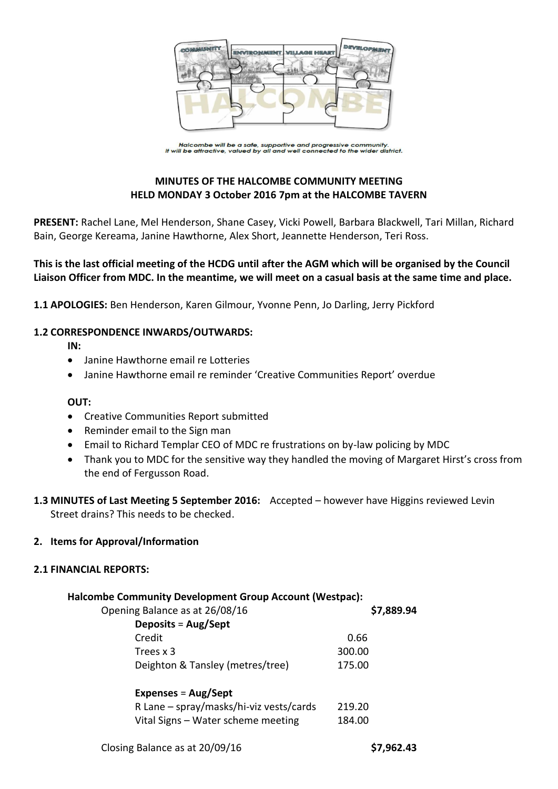

Halcombe will be a safe, supportive and progressive community.<br>It will be attractive, valued by all and well connected to the wider district.

# **MINUTES OF THE HALCOMBE COMMUNITY MEETING HELD MONDAY 3 October 2016 7pm at the HALCOMBE TAVERN**

**PRESENT:** Rachel Lane, Mel Henderson, Shane Casey, Vicki Powell, Barbara Blackwell, Tari Millan, Richard Bain, George Kereama, Janine Hawthorne, Alex Short, Jeannette Henderson, Teri Ross.

**This is the last official meeting of the HCDG until after the AGM which will be organised by the Council Liaison Officer from MDC. In the meantime, we will meet on a casual basis at the same time and place.**

**1.1 APOLOGIES:** Ben Henderson, Karen Gilmour, Yvonne Penn, Jo Darling, Jerry Pickford

#### **1.2 CORRESPONDENCE INWARDS/OUTWARDS:**

**IN:** 

- Janine Hawthorne email re Lotteries
- Janine Hawthorne email re reminder 'Creative Communities Report' overdue

#### **OUT:**

- Creative Communities Report submitted
- Reminder email to the Sign man
- Email to Richard Templar CEO of MDC re frustrations on by-law policing by MDC
- Thank you to MDC for the sensitive way they handled the moving of Margaret Hirst's cross from the end of Fergusson Road.
- **1.3 MINUTES of Last Meeting 5 September 2016:** Accepted however have Higgins reviewed Levin Street drains? This needs to be checked.

#### **2. Items for Approval/Information**

#### **2.1 FINANCIAL REPORTS:**

#### **Halcombe Community Development Group Account (Westpac):**

| Opening Balance as at 26/08/16          | \$7,889.94 |
|-----------------------------------------|------------|
| <b>Deposits = Aug/Sept</b>              |            |
| Credit                                  | 0.66       |
| Trees x 3                               | 300.00     |
| Deighton & Tansley (metres/tree)        | 175.00     |
| <b>Expenses = Aug/Sept</b>              |            |
| R Lane – spray/masks/hi-viz vests/cards | 219.20     |
| Vital Signs - Water scheme meeting      | 184.00     |
|                                         |            |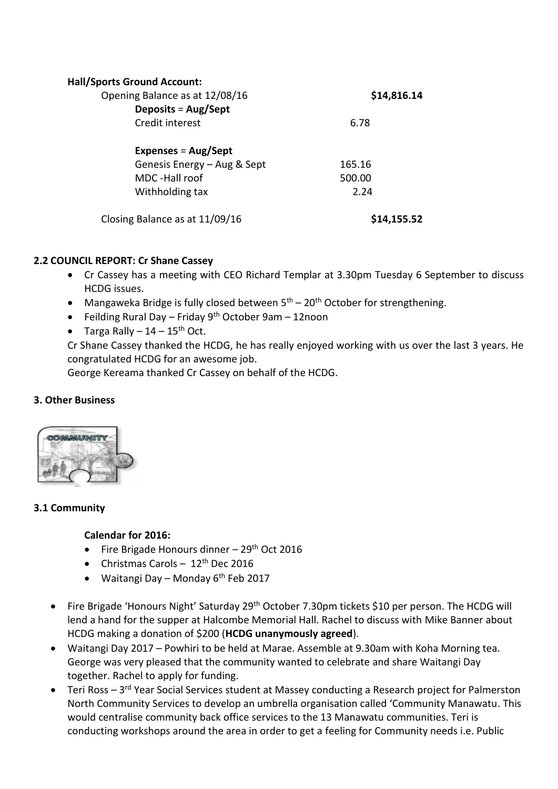| <b>Hall/Sports Ground Account:</b> |             |
|------------------------------------|-------------|
| Opening Balance as at 12/08/16     | \$14,816.14 |
| <b>Deposits = Aug/Sept</b>         |             |
| Credit interest                    | 6.78        |
| Expenses = $Aug/Sept$              |             |
| Genesis Energy - Aug & Sept        | 165.16      |
| MDC -Hall roof                     | 500.00      |
| Withholding tax                    | 2.24        |
| Closing Balance as at 11/09/16     | \$14,155.52 |

# **2.2 COUNCIL REPORT: Cr Shane Cassey**

- Cr Cassey has a meeting with CEO Richard Templar at 3.30pm Tuesday 6 September to discuss HCDG issues.
- Mangaweka Bridge is fully closed between  $5<sup>th</sup>$  20<sup>th</sup> October for strengthening.
- Feilding Rural Day Friday 9th October 9am 12noon
- Targa Rally  $-14-15$ <sup>th</sup> Oct.

Cr Shane Cassey thanked the HCDG, he has really enjoyed working with us over the last 3 years. He congratulated HCDG for an awesome job.

George Kereama thanked Cr Cassey on behalf of the HCDG.

# **3. Other Business**



# **3.1 Community**

## **Calendar for 2016:**

- Fire Brigade Honours dinner  $-29<sup>th</sup>$  Oct 2016
- Christmas Carols  $12<sup>th</sup>$  Dec 2016
- Waitangi Day Monday  $6<sup>th</sup>$  Feb 2017
- Fire Brigade 'Honours Night' Saturday 29<sup>th</sup> October 7.30pm tickets \$10 per person. The HCDG will lend a hand for the supper at Halcombe Memorial Hall. Rachel to discuss with Mike Banner about HCDG making a donation of \$200 (**HCDG unanymously agreed**).
- Waitangi Day 2017 Powhiri to be held at Marae. Assemble at 9.30am with Koha Morning tea. George was very pleased that the community wanted to celebrate and share Waitangi Day together. Rachel to apply for funding.
- Teri Ross 3<sup>rd</sup> Year Social Services student at Massey conducting a Research project for Palmerston North Community Services to develop an umbrella organisation called 'Community Manawatu. This would centralise community back office services to the 13 Manawatu communities. Teri is conducting workshops around the area in order to get a feeling for Community needs i.e. Public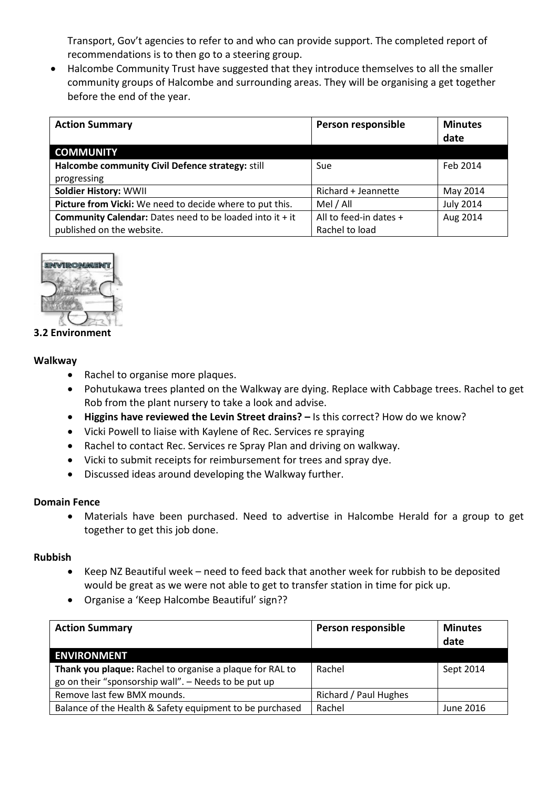Transport, Gov't agencies to refer to and who can provide support. The completed report of recommendations is to then go to a steering group.

 Halcombe Community Trust have suggested that they introduce themselves to all the smaller community groups of Halcombe and surrounding areas. They will be organising a get together before the end of the year.

| <b>Action Summary</b>                                             | Person responsible     | <b>Minutes</b><br>date |
|-------------------------------------------------------------------|------------------------|------------------------|
| <b>COMMUNITY</b>                                                  |                        |                        |
| Halcombe community Civil Defence strategy: still                  | Sue                    | Feb 2014               |
| progressing                                                       |                        |                        |
| <b>Soldier History: WWII</b>                                      | Richard + Jeannette    | May 2014               |
| Picture from Vicki: We need to decide where to put this.          | Mel / All              | <b>July 2014</b>       |
| <b>Community Calendar:</b> Dates need to be loaded into it $+$ it | All to feed-in dates + | Aug 2014               |
| published on the website.                                         | Rachel to load         |                        |



**3.2 Environment**

## **Walkway**

- Rachel to organise more plaques.
- Pohutukawa trees planted on the Walkway are dying. Replace with Cabbage trees. Rachel to get Rob from the plant nursery to take a look and advise.
- Higgins have reviewed the Levin Street drains? Is this correct? How do we know?
- Vicki Powell to liaise with Kaylene of Rec. Services re spraying
- Rachel to contact Rec. Services re Spray Plan and driving on walkway.
- Vicki to submit receipts for reimbursement for trees and spray dye.
- Discussed ideas around developing the Walkway further.

## **Domain Fence**

 Materials have been purchased. Need to advertise in Halcombe Herald for a group to get together to get this job done.

## **Rubbish**

- Keep NZ Beautiful week need to feed back that another week for rubbish to be deposited would be great as we were not able to get to transfer station in time for pick up.
- Organise a 'Keep Halcombe Beautiful' sign??

| <b>Action Summary</b>                                    | Person responsible    | <b>Minutes</b><br>date |
|----------------------------------------------------------|-----------------------|------------------------|
| <b>ENVIRONMENT</b>                                       |                       |                        |
| Thank you plaque: Rachel to organise a plaque for RAL to | Rachel                | Sept 2014              |
| go on their "sponsorship wall". - Needs to be put up     |                       |                        |
| Remove last few BMX mounds.                              | Richard / Paul Hughes |                        |
| Balance of the Health & Safety equipment to be purchased | Rachel                | June 2016              |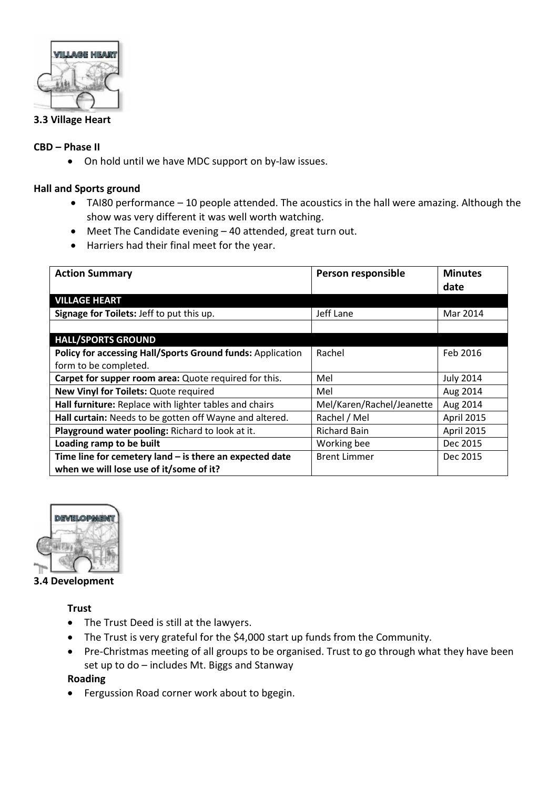

## **3.3 Village Heart**

## **CBD – Phase II**

On hold until we have MDC support on by-law issues.

#### **Hall and Sports ground**

- TAI80 performance 10 people attended. The acoustics in the hall were amazing. Although the show was very different it was well worth watching.
- Meet The Candidate evening 40 attended, great turn out.
- Harriers had their final meet for the year.

| <b>Action Summary</b>                                      | Person responsible        | <b>Minutes</b><br>date |
|------------------------------------------------------------|---------------------------|------------------------|
| <b>VILLAGE HEART</b>                                       |                           |                        |
| Signage for Toilets: Jeff to put this up.                  | Jeff Lane                 | Mar 2014               |
|                                                            |                           |                        |
| <b>HALL/SPORTS GROUND</b>                                  |                           |                        |
| Policy for accessing Hall/Sports Ground funds: Application | Rachel                    | Feb 2016               |
| form to be completed.                                      |                           |                        |
| Carpet for supper room area: Quote required for this.      | Mel                       | <b>July 2014</b>       |
| New Vinyl for Toilets: Quote required                      | Mel                       | Aug 2014               |
| Hall furniture: Replace with lighter tables and chairs     | Mel/Karen/Rachel/Jeanette | Aug 2014               |
| Hall curtain: Needs to be gotten off Wayne and altered.    | Rachel / Mel              | April 2015             |
| Playground water pooling: Richard to look at it.           | <b>Richard Bain</b>       | April 2015             |
| Loading ramp to be built                                   | Working bee               | Dec 2015               |
| Time line for cemetery land $-$ is there an expected date  | <b>Brent Limmer</b>       | Dec 2015               |
| when we will lose use of it/some of it?                    |                           |                        |



**3.4 Development**

**Trust**

- The Trust Deed is still at the lawyers.
- The Trust is very grateful for the \$4,000 start up funds from the Community.
- Pre-Christmas meeting of all groups to be organised. Trust to go through what they have been set up to do – includes Mt. Biggs and Stanway

**Roading**

Fergussion Road corner work about to bgegin.